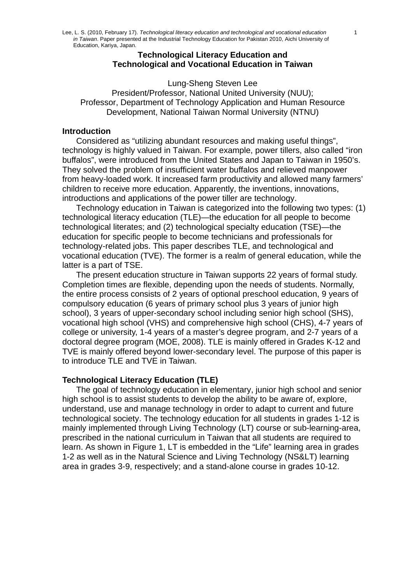#### **Technological Literacy Education and Technological and Vocational Education in Taiwan**

Lung-Sheng Steven Lee President/Professor, National United University (NUU); Professor, Department of Technology Application and Human Resource Development, National Taiwan Normal University (NTNU)

#### **Introduction**

Considered as "utilizing abundant resources and making useful things", technology is highly valued in Taiwan. For example, power tillers, also called "iron buffalos", were introduced from the United States and Japan to Taiwan in 1950's. They solved the problem of insufficient water buffalos and relieved manpower from heavy-loaded work. It increased farm productivity and allowed many farmers' children to receive more education. Apparently, the inventions, innovations, introductions and applications of the power tiller are technology.

Technology education in Taiwan is categorized into the following two types: (1) technological literacy education (TLE)—the education for all people to become technological literates; and (2) technological specialty education (TSE)—the education for specific people to become technicians and professionals for technology-related jobs. This paper describes TLE, and technological and vocational education (TVE). The former is a realm of general education, while the latter is a part of TSE.

The present education structure in Taiwan supports 22 years of formal study. Completion times are flexible, depending upon the needs of students. Normally, the entire process consists of 2 years of optional preschool education, 9 years of compulsory education (6 years of primary school plus 3 years of junior high school), 3 years of upper-secondary school including senior high school (SHS), vocational high school (VHS) and comprehensive high school (CHS), 4-7 years of college or university, 1-4 years of a master's degree program, and 2-7 years of a doctoral degree program (MOE, 2008). TLE is mainly offered in Grades K-12 and TVE is mainly offered beyond lower-secondary level. The purpose of this paper is to introduce TLE and TVE in Taiwan.

## **Technological Literacy Education (TLE)**

The goal of technology education in elementary, junior high school and senior high school is to assist students to develop the ability to be aware of, explore, understand, use and manage technology in order to adapt to current and future technological society. The technology education for all students in grades 1-12 is mainly implemented through Living Technology (LT) course or sub-learning-area, prescribed in the national curriculum in Taiwan that all students are required to learn. As shown in Figure 1, LT is embedded in the "Life" learning area in grades 1-2 as well as in the Natural Science and Living Technology (NS&LT) learning area in grades 3-9, respectively; and a stand-alone course in grades 10-12.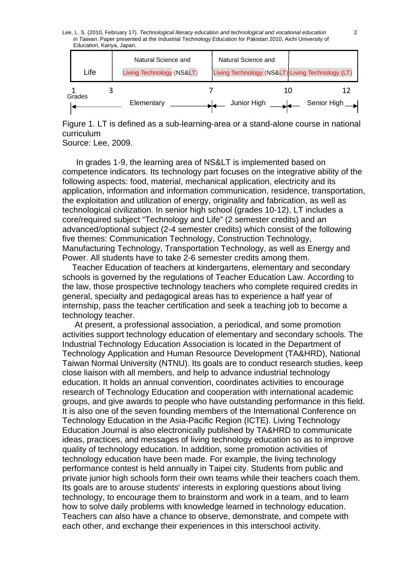Lee, L. S. (2010, February 17). *Technological literacy education and technological and vocational education* 2 *in Taiwan*. Paper presented at the Industrial Technology Education for Pakistan 2010, Aichi University of Education, Kariya, Japan.

| Life   | Natural Science and<br>Living Technology (NS<) | Natural Science and |    | Living Technology (NS<) Living Technology (LT) |
|--------|------------------------------------------------|---------------------|----|------------------------------------------------|
| Grades | Elementary                                     | Junior High         | 10 | Senior High                                    |

Figure 1. LT is defined as a sub-learning-area or a stand-alone course in national curriculum

Source: Lee, 2009.

In grades 1-9, the learning area of NS&LT is implemented based on competence indicators. Its technology part focuses on the integrative ability of the following aspects: food, material, mechanical application, electricity and its application, information and information communication, residence, transportation, the exploitation and utilization of energy, originality and fabrication, as well as technological civilization. In senior high school (grades 10-12), LT includes a core/required subject "Technology and Life" (2 semester credits) and an advanced/optional subject (2-4 semester credits) which consist of the following five themes: Communication Technology, Construction Technology, Manufacturing Technology, Transportation Technology, as well as Energy and Power. All students have to take 2-6 semester credits among them.

Teacher Education of teachers at kindergartens, elementary and secondary schools is governed by the regulations of Teacher Education Law. According to the law, those prospective technology teachers who complete required credits in general, specialty and pedagogical areas has to experience a half year of internship, pass the teacher certification and seek a teaching job to become a technology teacher.

At present, a professional association, a periodical, and some promotion activities support technology education of elementary and secondary schools. The Industrial Technology Education Association is located in the Department of Technology Application and Human Resource Development (TA&HRD), National Taiwan Normal University (NTNU). Its goals are to conduct research studies, keep close liaison with all members, and help to advance industrial technology education. It holds an annual convention, coordinates activities to encourage research of Technology Education and cooperation with international academic groups, and give awards to people who have outstanding performance in this field. It is also one of the seven founding members of the International Conference on Technology Education in the Asia-Pacific Region (ICTE). Living Technology Education Journal is also electronically published by TA&HRD to communicate ideas, practices, and messages of living technology education so as to improve quality of technology education. In addition, some promotion activities of technology education have been made. For example, the living technology performance contest is held annually in Taipei city. Students from public and private junior high schools form their own teams while their teachers coach them. Its goals are to arouse students' interests in exploring questions about living technology, to encourage them to brainstorm and work in a team, and to learn how to solve daily problems with knowledge learned in technology education. Teachers can also have a chance to observe, demonstrate, and compete with each other, and exchange their experiences in this interschool activity.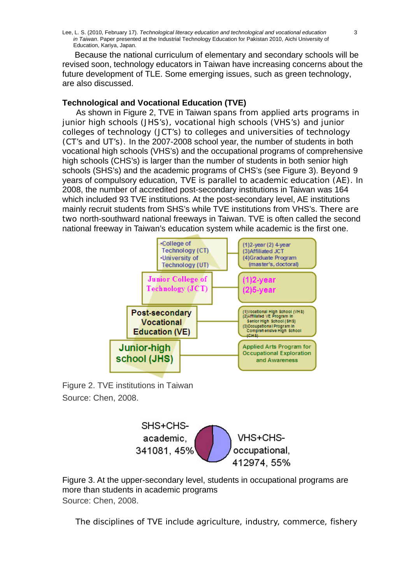Lee, L. S. (2010, February 17). *Technological literacy education and technological and vocational education* 3 *in Taiwan*. Paper presented at the Industrial Technology Education for Pakistan 2010, Aichi University of Education, Kariya, Japan.

Because the national curriculum of elementary and secondary schools will be revised soon, technology educators in Taiwan have increasing concerns about the future development of TLE. Some emerging issues, such as green technology, are also discussed.

## **Technological and Vocational Education (TVE)**

As shown in Figure 2, TVE in Taiwan spans from applied arts programs in junior high schools (JHS's), vocational high schools (VHS's) and junior colleges of technology (JCT's) to colleges and universities of technology (CT's and UT's). In the 2007-2008 school year, the number of students in both vocational high schools (VHS's) and the occupational programs of comprehensive high schools (CHS's) is larger than the number of students in both senior high schools (SHS's) and the academic programs of CHS's (see Figure 3). Beyond 9 years of compulsory education, TVE is parallel to academic education (AE). In 2008, the number of accredited post-secondary institutions in Taiwan was 164 which included 93 TVE institutions. At the post-secondary level, AE institutions mainly recruit students from SHS's while TVE institutions from VHS's. There are two north-southward national freeways in Taiwan. TVE is often called the second national freeway in Taiwan's education system while academic is the first one.



Figure 2. TVE institutions in Taiwan Source: Chen, 2008.



Figure 3. At the upper-secondary level, students in occupational programs are more than students in academic programs Source: Chen, 2008.

The disciplines of TVE include agriculture, industry, commerce, fishery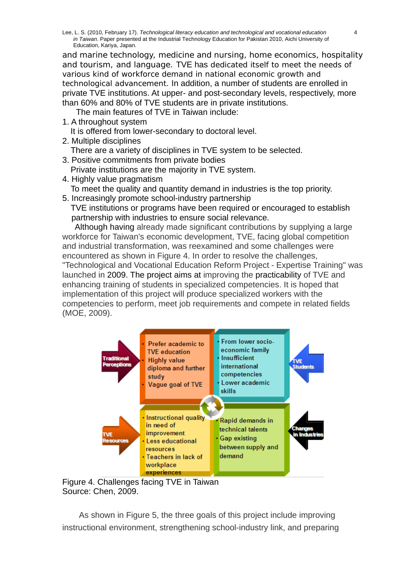and marine technology, medicine and nursing, home economics, hospitality and tourism, and language. TVE has dedicated itself to meet the needs of various kind of workforce demand in national economic growth and technological advancement. In addition, a number of students are enrolled in private TVE institutions. At upper- and post-secondary levels, respectively, more than 60% and 80% of TVE students are in private institutions.

The main features of TVE in Taiwan include:

- 1. A throughout system
- It is offered from lower-secondary to doctoral level.
- 2. Multiple disciplines There are a variety of disciplines in TVE system to be selected.
- 3. Positive commitments from private bodies
- Private institutions are the majority in TVE system.
- 4. Highly value pragmatism To meet the quality and quantity demand in industries is the top priority.
- 5. Increasingly promote school-industry partnership TVE institutions or programs have been required or encouraged to establish partnership with industries to ensure social relevance.

 Although having already made significant contributions by supplying a large workforce for Taiwan's economic development, TVE, facing global competition and industrial transformation, was reexamined and some challenges were encountered as shown in Figure 4. In order to resolve the challenges, "Technological and Vocational Education Reform Project - Expertise Training" was launched in 2009. The project aims at improving the practicability of TVE and enhancing training of students in specialized competencies. It is hoped that implementation of this project will produce specialized workers with the competencies to perform, meet job requirements and compete in related fields (MOE, 2009).



Figure 4. Challenges facing TVE in Taiwan Source: Chen, 2009.

As shown in Figure 5, the three goals of this project include improving instructional environment, strengthening school-industry link, and preparing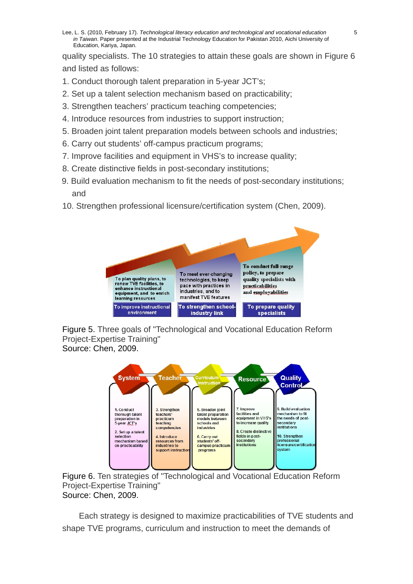Lee, L. S. (2010, February 17). *Technological literacy education and technological and vocational education* 5 *in Taiwan*. Paper presented at the Industrial Technology Education for Pakistan 2010, Aichi University of Education, Kariya, Japan.

quality specialists. The 10 strategies to attain these goals are shown in Figure 6 and listed as follows:

- 1. Conduct thorough talent preparation in 5-year JCT's;
- 2. Set up a talent selection mechanism based on practicability;
- 3. Strengthen teachers' practicum teaching competencies;
- 4. Introduce resources from industries to support instruction;
- 5. Broaden joint talent preparation models between schools and industries;
- 6. Carry out students' off-campus practicum programs;
- 7. Improve facilities and equipment in VHS's to increase quality;
- 8. Create distinctive fields in post-secondary institutions;
- 9. Build evaluation mechanism to fit the needs of post-secondary institutions; and
- 10. Strengthen professional licensure/certification system (Chen, 2009).









Each strategy is designed to maximize practicabilities of TVE students and shape TVE programs, curriculum and instruction to meet the demands of